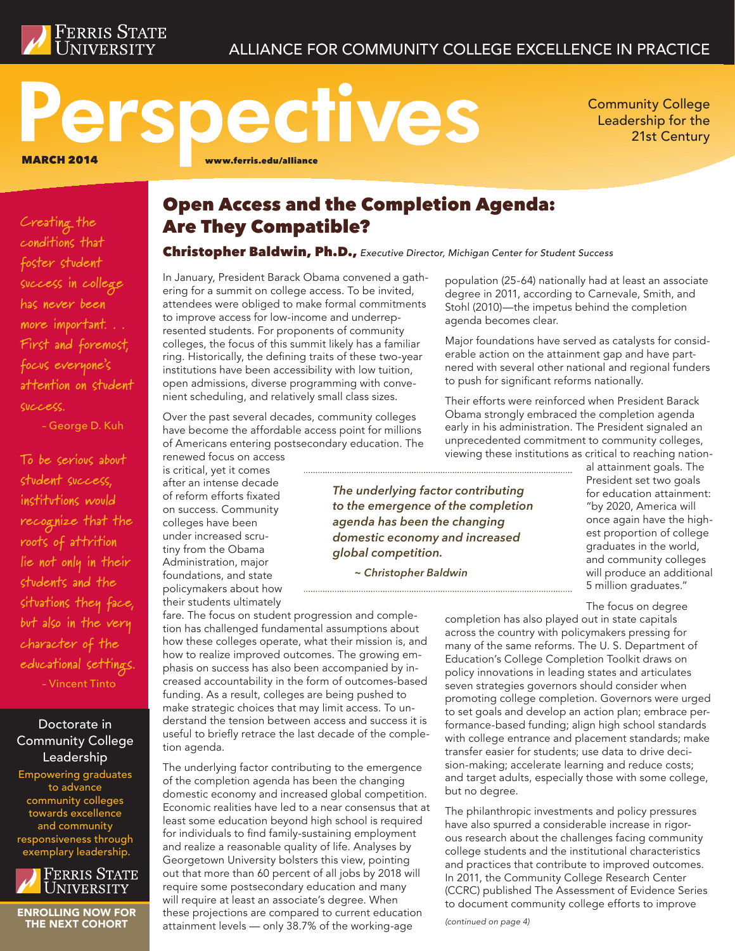

### ALLIANCE FOR COMMUNITY COLLEGE EXCELLENCE IN PRACTICE

# Perspectives MARCH 2014 www.ferris.edu/alliance

Community College Leadership for the 21st Century

**Creating the conditions that foster student success in college has never been more important. . . First and foremost, focus everyone's attention on student success.** 

– George D. Kuh

**To be serious about student success, institutions would recog nize that the roots of attrition lie not only in their students and the situations they face, but also in the very character of the educational settings.**  – Vincent Tinto

Doctorate in Community College Leadership

Empowering graduates to advance community colleges towards excellence and community responsiveness through exemplary leadership.



ENROLLING NOW FOR THE NEXT COHORT

### Open Access and the Completion Agenda: Are They Compatible?

#### Christopher Baldwin, Ph.D., *Executive Director, Michigan Center for Student Success*

In January, President Barack Obama convened a gathering for a summit on college access. To be invited, attendees were obliged to make formal commitments to improve access for low-income and underrepresented students. For proponents of community colleges, the focus of this summit likely has a familiar ring. Historically, the defining traits of these two-year institutions have been accessibility with low tuition, open admissions, diverse programming with convenient scheduling, and relatively small class sizes.

Over the past several decades, community colleges have become the affordable access point for millions of Americans entering postsecondary education. The renewed focus on access

is critical, yet it comes after an intense decade of reform efforts fixated on success. Community colleges have been under increased scrutiny from the Obama Administration, major foundations, and state policymakers about how their students ultimately

fare. The focus on student progression and completion has challenged fundamental assumptions about how these colleges operate, what their mission is, and how to realize improved outcomes. The growing emphasis on success has also been accompanied by increased accountability in the form of outcomes-based funding. As a result, colleges are being pushed to make strategic choices that may limit access. To understand the tension between access and success it is useful to briefly retrace the last decade of the completion agenda.

The underlying factor contributing to the emergence of the completion agenda has been the changing domestic economy and increased global competition. Economic realities have led to a near consensus that at least some education beyond high school is required for individuals to find family-sustaining employment and realize a reasonable quality of life. Analyses by Georgetown University bolsters this view, pointing out that more than 60 percent of all jobs by 2018 will require some postsecondary education and many will require at least an associate's degree. When these projections are compared to current education attainment levels — only 38.7% of the working-age

population (25-64) nationally had at least an associate degree in 2011, according to Carnevale, Smith, and Stohl (2010)—the impetus behind the completion agenda becomes clear.

Major foundations have served as catalysts for considerable action on the attainment gap and have partnered with several other national and regional funders to push for significant reforms nationally.

Their efforts were reinforced when President Barack Obama strongly embraced the completion agenda early in his administration. The President signaled an unprecedented commitment to community colleges, viewing these institutions as critical to reaching nation-

*The underlying factor contributing to the emergence of the completion agenda has been the changing domestic economy and increased global competition.*

*~ Christopher Baldwin* 

"by 2020, America will once again have the highest proportion of college graduates in the world, and community colleges will produce an additional 5 million graduates." The focus on degree

al attainment goals. The President set two goals for education attainment:

completion has also played out in state capitals across the country with policymakers pressing for many of the same reforms. The U. S. Department of Education's College Completion Toolkit draws on policy innovations in leading states and articulates seven strategies governors should consider when promoting college completion. Governors were urged to set goals and develop an action plan; embrace performance-based funding; align high school standards with college entrance and placement standards; make transfer easier for students; use data to drive decision-making; accelerate learning and reduce costs; and target adults, especially those with some college, but no degree.

The philanthropic investments and policy pressures have also spurred a considerable increase in rigorous research about the challenges facing community college students and the institutional characteristics and practices that contribute to improved outcomes. In 2011, the Community College Research Center (CCRC) published The Assessment of Evidence Series to document community college efforts to improve

*(continued on page 4)*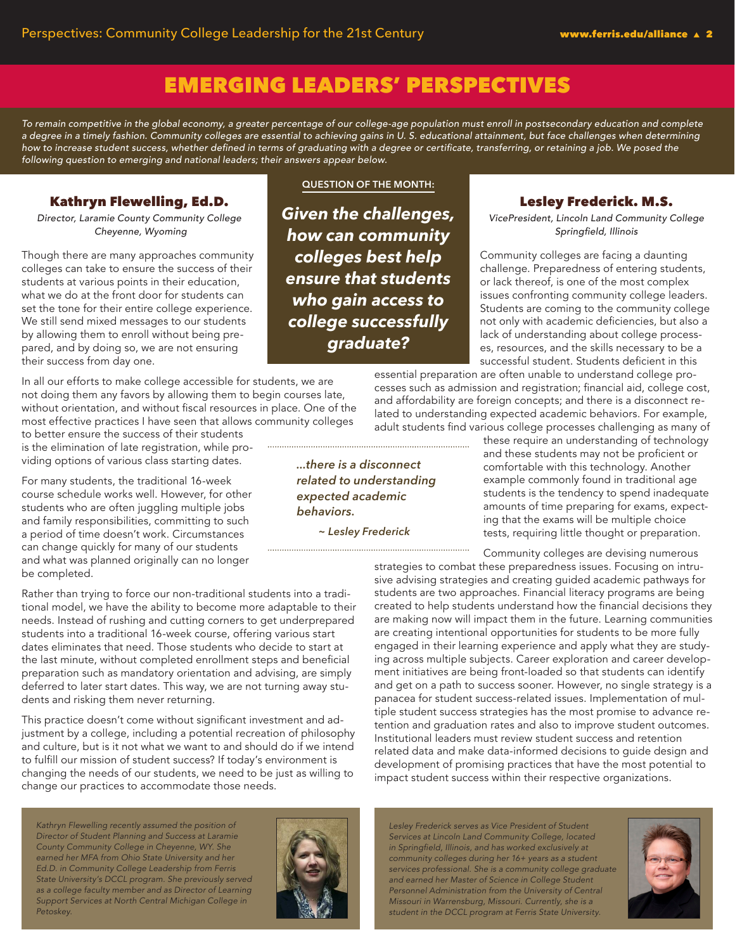# EMERGING LEADERS' PERSPECTIVES

*To remain competitive in the global economy, a greater percentage of our college-age population must enroll in postsecondary education and complete a degree in a timely fashion. Community colleges are essential to achieving gains in U. S. educational attainment, but face challenges when determining*  how to increase student success, whether defined in terms of graduating with a degree or certificate, transferring, or retaining a job. We posed the *following question to emerging and national leaders; their answers appear below.*

### Kathryn Flewelling, Ed.D.

*Director, Laramie County Community College Cheyenne, Wyoming*

Though there are many approaches community colleges can take to ensure the success of their students at various points in their education, what we do at the front door for students can set the tone for their entire college experience. We still send mixed messages to our students by allowing them to enroll without being prepared, and by doing so, we are not ensuring their success from day one.

In all our efforts to make college accessible for students, we are not doing them any favors by allowing them to begin courses late, without orientation, and without fiscal resources in place. One of the most effective practices I have seen that allows community colleges

to better ensure the success of their students is the elimination of late registration, while providing options of various class starting dates.

For many students, the traditional 16-week course schedule works well. However, for other students who are often juggling multiple jobs and family responsibilities, committing to such a period of time doesn't work. Circumstances can change quickly for many of our students and what was planned originally can no longer be completed.

Rather than trying to force our non-traditional students into a traditional model, we have the ability to become more adaptable to their needs. Instead of rushing and cutting corners to get underprepared students into a traditional 16-week course, offering various start dates eliminates that need. Those students who decide to start at the last minute, without completed enrollment steps and beneficial preparation such as mandatory orientation and advising, are simply deferred to later start dates. This way, we are not turning away students and risking them never returning.

This practice doesn't come without significant investment and adjustment by a college, including a potential recreation of philosophy and culture, but is it not what we want to and should do if we intend to fulfill our mission of student success? If today's environment is changing the needs of our students, we need to be just as willing to change our practices to accommodate those needs.

*Kathryn Flewelling recently assumed the position of Director of Student Planning and Success at Laramie County Community College in Cheyenne, WY. She earned her MFA from Ohio State University and her Ed.D. in Community College Leadership from Ferris State University's DCCL program. She previously served as a college faculty member and as Director of Learning Support Services at North Central Michigan College in Petoskey.*



**QUESTION OF THE MONTH:**

*Given the challenges, how can community colleges best help ensure that students who gain access to college successfully graduate?*

*...there is a disconnect related to understanding expected academic behaviors.*

*~ Lesley Frederick*

### Lesley Frederick. M.S.

*VicePresident, Lincoln Land Community College* Springfield, Illinois

Community colleges are facing a daunting challenge. Preparedness of entering students, or lack thereof, is one of the most complex issues confronting community college leaders. Students are coming to the community college not only with academic deficiencies, but also a lack of understanding about college processes, resources, and the skills necessary to be a successful student. Students deficient in this

essential preparation are often unable to understand college processes such as admission and registration; financial aid, college cost, and affordability are foreign concepts; and there is a disconnect related to understanding expected academic behaviors. For example, adult students find various college processes challenging as many of

these require an understanding of technology and these students may not be proficient or comfortable with this technology. Another example commonly found in traditional age students is the tendency to spend inadequate amounts of time preparing for exams, expecting that the exams will be multiple choice tests, requiring little thought or preparation.

Community colleges are devising numerous

strategies to combat these preparedness issues. Focusing on intrusive advising strategies and creating guided academic pathways for students are two approaches. Financial literacy programs are being created to help students understand how the financial decisions they are making now will impact them in the future. Learning communities are creating intentional opportunities for students to be more fully engaged in their learning experience and apply what they are studying across multiple subjects. Career exploration and career development initiatives are being front-loaded so that students can identify and get on a path to success sooner. However, no single strategy is a panacea for student success-related issues. Implementation of multiple student success strategies has the most promise to advance retention and graduation rates and also to improve student outcomes. Institutional leaders must review student success and retention related data and make data-informed decisions to guide design and development of promising practices that have the most potential to impact student success within their respective organizations.

*Lesley Frederick serves as Vice President of Student Services at Lincoln Land Community College, located*  in Springfield, Illinois, and has worked exclusively at *community colleges during her 16+ years as a student services professional. She is a community college graduate and earned her Master of Science in College Student Personnel Administration from the University of Central Missouri in Warrensburg, Missouri. Currently, she is a student in the DCCL program at Ferris State University.*

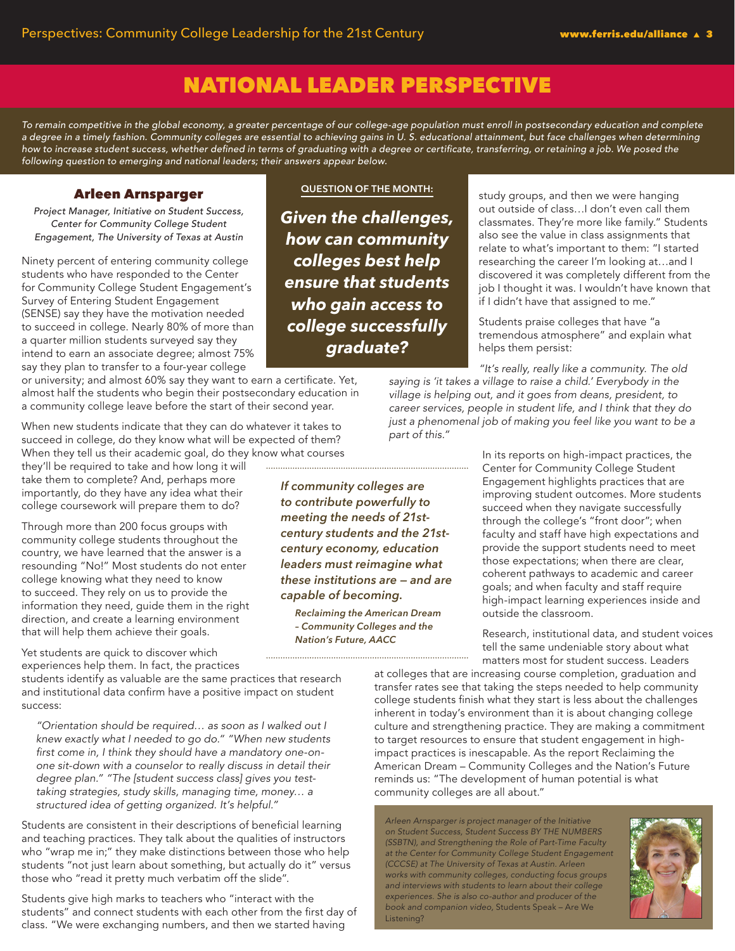# NATIONAL LEADER PERSPECTIVE

*To remain competitive in the global economy, a greater percentage of our college-age population must enroll in postsecondary education and complete a degree in a timely fashion. Community colleges are essential to achieving gains in U. S. educational attainment, but face challenges when determining*  how to increase student success, whether defined in terms of graduating with a degree or certificate, transferring, or retaining a job. We posed the *following question to emerging and national leaders; their answers appear below.*

### Arleen Arnsparger

Project Manager, Initiative on Student Success, *Center for Community College Student Engagement, The University of Texas at Austin*

Ninety percent of entering community college students who have responded to the Center for Community College Student Engagement's Survey of Entering Student Engagement (SENSE) say they have the motivation needed to succeed in college. Nearly 80% of more than a quarter million students surveyed say they intend to earn an associate degree; almost 75% say they plan to transfer to a four-year college

or university; and almost 60% say they want to earn a certificate. Yet, almost half the students who begin their postsecondary education in a community college leave before the start of their second year.

When new students indicate that they can do whatever it takes to succeed in college, do they know what will be expected of them? When they tell us their academic goal, do they know what courses

they'll be required to take and how long it will take them to complete? And, perhaps more importantly, do they have any idea what their college coursework will prepare them to do?

Through more than 200 focus groups with community college students throughout the country, we have learned that the answer is a resounding "No!" Most students do not enter college knowing what they need to know to succeed. They rely on us to provide the information they need, guide them in the right direction, and create a learning environment that will help them achieve their goals.

Yet students are quick to discover which experiences help them. In fact, the practices

students identify as valuable are the same practices that research and institutional data confirm have a positive impact on student success:

"Orientation should be required… as soon as I walked out I knew exactly what I needed to go do." "When new students first come in, I think they should have a mandatory one-onone sit-down with a counselor to really discuss in detail their degree plan." "The [student success class] gives you test*taking strategies, study skills, managing time, money… a*  structured idea of getting organized. It's helpful."

Students are consistent in their descriptions of beneficial learning and teaching practices. They talk about the qualities of instructors who "wrap me in;" they make distinctions between those who help students "not just learn about something, but actually do it" versus those who "read it pretty much verbatim off the slide".

Students give high marks to teachers who "interact with the students" and connect students with each other from the first day of class. "We were exchanging numbers, and then we started having

**QUESTION OF THE MONTH:**

*Given the challenges, how can community colleges best help ensure that students who gain access to college successfully graduate?*

study groups, and then we were hanging out outside of class…I don't even call them classmates. They're more like family." Students also see the value in class assignments that relate to what's important to them: "I started researching the career I'm looking at…and I discovered it was completely different from the job I thought it was. I wouldn't have known that if I didn't have that assigned to me."

Students praise colleges that have "a tremendous atmosphere" and explain what helps them persist:

"It's really, really like a community. The old *saying is 'it takes a village to raise a child.' Everybody in the village is helping out, and it goes from deans, president, to*  career services, people in student life, and I think that they do *just a phenomenal job of making you feel like you want to be a part of this."*

> In its reports on high-impact practices, the Center for Community College Student Engagement highlights practices that are improving student outcomes. More students succeed when they navigate successfully through the college's "front door"; when faculty and staff have high expectations and provide the support students need to meet those expectations; when there are clear, coherent pathways to academic and career goals; and when faculty and staff require high-impact learning experiences inside and outside the classroom.

Research, institutional data, and student voices tell the same undeniable story about what matters most for student success. Leaders

at colleges that are increasing course completion, graduation and transfer rates see that taking the steps needed to help community college students finish what they start is less about the challenges inherent in today's environment than it is about changing college culture and strengthening practice. They are making a commitment to target resources to ensure that student engagement in highimpact practices is inescapable. As the report Reclaiming the American Dream – Community Colleges and the Nation's Future reminds us: "The development of human potential is what community colleges are all about."

Arleen Arnsparger is project manager of the Initiative *on Student Success, Student Success BY THE NUMBERS*  (SSBTN), and Strengthening the Role of Part-Time Faculty *at the Center for Community College Student Engagement*  (CCCSE) at The University of Texas at Austin. Arleen *works with community colleges, conducting focus groups and interviews with students to learn about their college*  experiences. She is also co-author and producer of the *book and companion video,* Students Speak – Are We Listening?



*If community colleges are to contribute powerfully to meeting the needs of 21stcentury students and the 21stcentury economy, education leaders must reimagine what these institutions are — and are capable of becoming.*

*Reclaiming the American Dream – Community Colleges and the Nation's Future, AACC*